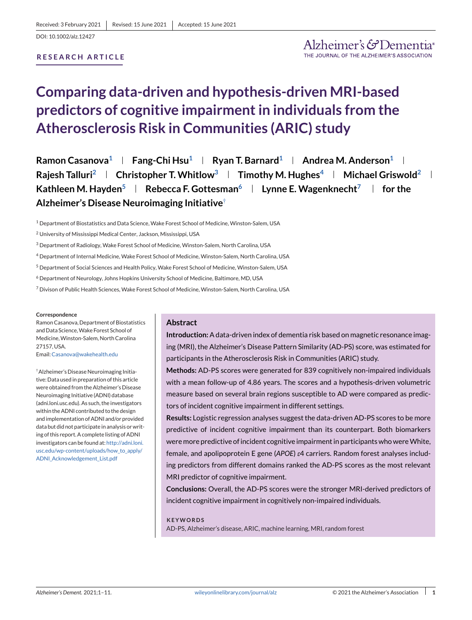## **RESEARCH ARTICLE**

## **Comparing data-driven and hypothesis-driven MRI-based predictors of cognitive impairment in individuals from the Atherosclerosis Risk in Communities (ARIC) study**

**Ramon Casanova**<sup>1</sup> **Fang-Chi Hsu**<sup>1</sup> **Ryan T. Barnard**<sup>1</sup> **Andrea M. Anderson**<sup>1</sup> **Resonal Rajesh Talluri<sup>2</sup> | Christopher T. Whitlow<sup>3</sup> | Timothy M. Hughes<sup>4</sup> | Michael Griswold<sup>2</sup> | Kathleen M. Hayden<sup>5</sup> | Rebecca F. Gottesman<sup>6</sup> | Lynne E. Wagenknecht<sup>7</sup> | for the Alzheimer's Disease Neuroimaging Initiative**†

<sup>1</sup> Department of Biostatistics and Data Science, Wake Forest School of Medicine, Winston-Salem, USA

<sup>2</sup> University of Mississippi Medical Center, Jackson, Mississippi, USA

- <sup>3</sup> Department of Radiology, Wake Forest School of Medicine, Winston-Salem, North Carolina, USA
- <sup>4</sup> Department of Internal Medicine, Wake Forest School of Medicine, Winston-Salem, North Carolina, USA
- <sup>5</sup> Department of Social Sciences and Health Policy, Wake Forest School of Medicine, Winston-Salem, USA
- <sup>6</sup> Department of Neurology, Johns Hopkins University School of Medicine, Baltimore, MD, USA
- <sup>7</sup> Divison of Public Health Sciences, Wake Forest School of Medicine, Winston-Salem, North Carolina, USA

#### **Correspondence**

Ramon Casanova, Department of Biostatistics and Data Science,Wake Forest School of Medicine,Winston-Salem, North Carolina 27157, USA.

Email[:Casanova@wakehealth.edu](mailto:Casanova@wakehealth.edu)

†Alzheimer's Disease Neuroimaging Initiative: Data used in preparation of this article were obtained from the Alzheimer's Disease Neuroimaging Initiative (ADNI) database (adni.loni.usc.edu). As such, the investigators within the ADNI contributed to the design and implementation of ADNI and/or provided data but did not participate in analysis or writing of this report. A complete listing of ADNI investigators can be found at: [http://adni.loni.](http://adni.loni.usc.edu/wp-content/uploads/how_to_apply/ADNI_Acknowledgement_List.pdf) [usc.edu/wp-content/uploads/how\\_to\\_apply/](http://adni.loni.usc.edu/wp-content/uploads/how_to_apply/ADNI_Acknowledgement_List.pdf) [ADNI\\_Acknowledgement\\_List.pdf](http://adni.loni.usc.edu/wp-content/uploads/how_to_apply/ADNI_Acknowledgement_List.pdf)

### **Abstract**

**Introduction:**A data-driven index of dementia risk based on magnetic resonance imaging (MRI), the Alzheimer's Disease Pattern Similarity (AD-PS) score, was estimated for participants in the Atherosclerosis Risk in Communities (ARIC) study.

**Methods:** AD-PS scores were generated for 839 cognitively non-impaired individuals with a mean follow-up of 4.86 years. The scores and a hypothesis-driven volumetric measure based on several brain regions susceptible to AD were compared as predictors of incident cognitive impairment in different settings.

**Results:** Logistic regression analyses suggest the data-driven AD-PS scores to be more predictive of incident cognitive impairment than its counterpart. Both biomarkers were more predictive of incident cognitive impairment in participants who wereWhite, female, and apolipoprotein E gene (*APOE*) *ε*4 carriers. Random forest analyses including predictors from different domains ranked the AD-PS scores as the most relevant MRI predictor of cognitive impairment.

**Conclusions:** Overall, the AD-PS scores were the stronger MRI-derived predictors of incident cognitive impairment in cognitively non-impaired individuals.

#### **KEYWORDS**

AD-PS, Alzheimer's disease, ARIC, machine learning, MRI, random forest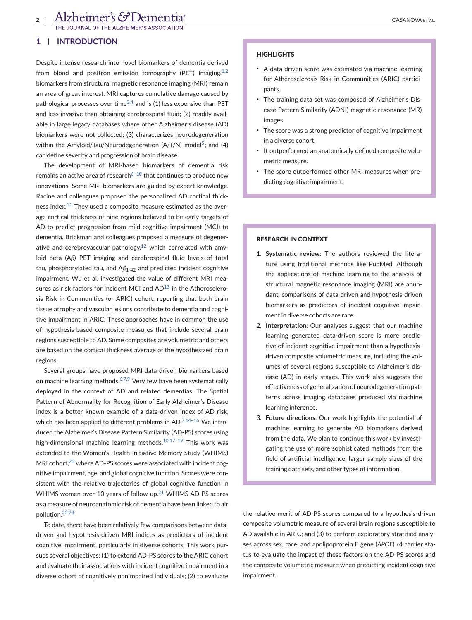### **1 INTRODUCTION**

Despite intense research into novel biomarkers of dementia derived from blood and positron emission tomography (PET) imaging,  $1,2$ biomarkers from structural magnetic resonance imaging (MRI) remain an area of great interest. MRI captures cumulative damage caused by pathological processes over time<sup>[3,4](#page-8-0)</sup> and is (1) less expensive than PET and less invasive than obtaining cerebrospinal fluid; (2) readily available in large legacy databases where other Alzheimer's disease (AD) biomarkers were not collected; (3) characterizes neurodegeneration within the Amyloid/Tau/Neurodegeneration  $(A/T/N)$  model<sup>5</sup>; and (4) can define severity and progression of brain disease.

The development of MRI-based biomarkers of dementia risk remains an active area of research<sup> $6-10$ </sup> that continues to produce new innovations. Some MRI biomarkers are guided by expert knowledge. Racine and colleagues proposed the personalized AD cortical thickness index. $11$  They used a composite measure estimated as the average cortical thickness of nine regions believed to be early targets of AD to predict progression from mild cognitive impairment (MCI) to dementia. Brickman and colleagues proposed a measure of degenerative and cerebrovascular pathology, $12$  which correlated with amyloid beta (A*β*) PET imaging and cerebrospinal fluid levels of total tau, phosphorylated tau, and A*β*1-42 and predicted incident cognitive impairment. Wu et al. investigated the value of different MRI measures as risk factors for incident MCI and  $AD^{13}$  $AD^{13}$  $AD^{13}$  in the Atherosclerosis Risk in Communities (or ARIC) cohort, reporting that both brain tissue atrophy and vascular lesions contribute to dementia and cognitive impairment in ARIC. These approaches have in common the use of hypothesis-based composite measures that include several brain regions susceptible to AD. Some composites are volumetric and others are based on the cortical thickness average of the hypothesized brain regions.

Several groups have proposed MRI data-driven biomarkers based on machine learning methods. $6,7,9$  Very few have been systematically deployed in the context of AD and related dementias. The Spatial Pattern of Abnormality for Recognition of Early Alzheimer's Disease index is a better known example of a data-driven index of AD risk, which has been applied to different problems in AD.<sup>7,14-16</sup> We introduced the Alzheimer's Disease Pattern Similarity (AD-PS) scores using high-dimensional machine learning methods.<sup>10,17-19</sup> This work was extended to the Women's Health Initiative Memory Study (WHIMS) MRI cohort.<sup>[20](#page-9-0)</sup> where AD-PS scores were associated with incident cognitive impairment, age, and global cognitive function. Scores were consistent with the relative trajectories of global cognitive function in WHIMS women over 10 years of follow-up. $21$  WHIMS AD-PS scores as a measure of neuroanatomic risk of dementia have been linked to air pollution.[22,23](#page-9-0)

To date, there have been relatively few comparisons between datadriven and hypothesis-driven MRI indices as predictors of incident cognitive impairment, particularly in diverse cohorts. This work pursues several objectives: (1) to extend AD-PS scores to the ARIC cohort and evaluate their associations with incident cognitive impairment in a diverse cohort of cognitively nonimpaired individuals; (2) to evaluate

#### **HIGHLIGHTS**

- ∙ A data-driven score was estimated via machine learning for Atherosclerosis Risk in Communities (ARIC) participants.
- ∙ The training data set was composed of Alzheimer's Disease Pattern Similarity (ADNI) magnetic resonance (MR) images.
- ∙ The score was a strong predictor of cognitive impairment in a diverse cohort.
- ∙ It outperformed an anatomically defined composite volumetric measure.
- ∙ The score outperformed other MRI measures when predicting cognitive impairment.

#### **RESEARCH IN CONTEXT**

- 1. **Systematic review**: The authors reviewed the literature using traditional methods like PubMed. Although the applications of machine learning to the analysis of structural magnetic resonance imaging (MRI) are abundant, comparisons of data-driven and hypothesis-driven biomarkers as predictors of incident cognitive impairment in diverse cohorts are rare.
- 2. **Interpretation**: Our analyses suggest that our machine learning–generated data-driven score is more predictive of incident cognitive impairment than a hypothesisdriven composite volumetric measure, including the volumes of several regions susceptible to Alzheimer's disease (AD) in early stages. This work also suggests the effectiveness of generalization of neurodegeneration patterns across imaging databases produced via machine learning inference.
- 3. **Future directions**: Our work highlights the potential of machine learning to generate AD biomarkers derived from the data. We plan to continue this work by investigating the use of more sophisticated methods from the field of artificial intelligence, larger sample sizes of the training data sets, and other types of information.

the relative merit of AD-PS scores compared to a hypothesis-driven composite volumetric measure of several brain regions susceptible to AD available in ARIC; and (3) to perform exploratory stratified analyses across sex, race, and apolipoprotein E gene (*APOE*) ɛ4 carrier status to evaluate the impact of these factors on the AD-PS scores and the composite volumetric measure when predicting incident cognitive impairment.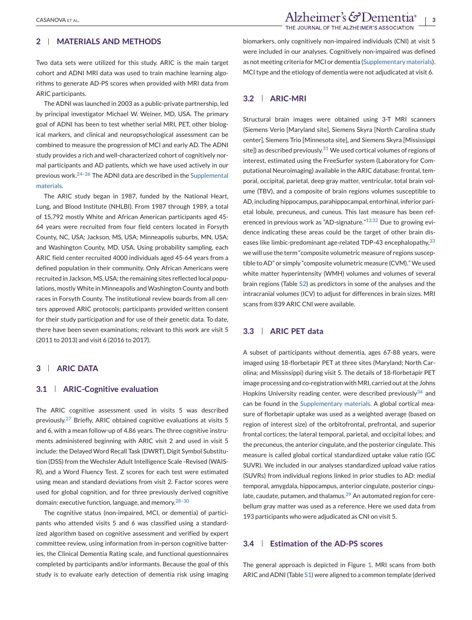## **2 MATERIALS AND METHODS**

Two data sets were utilized for this study. ARIC is the main target cohort and ADNI MRI data was used to train machine learning algorithms to generate AD-PS scores when provided with MRI data from ARIC participants.

The ADNI was launched in 2003 as a public-private partnership, led by principal investigator Michael W. Weiner, MD, USA. The primary goal of ADNI has been to test whether serial MRI, PET, other biological markers, and clinical and neuropsychological assessment can be combined to measure the progression of MCI and early AD. The ADNI study provides a rich and well-characterized cohort of cognitively normal participants and AD patients, which we have used actively in our previous work.[24–26](#page-9-0) The ADNI data are described in the Supplemental materials.

The ARIC study began in 1987, funded by the National Heart, Lung, and Blood Institute (NHLBI). From 1987 through 1989, a total of 15,792 mostly White and African American participants aged 45- 64 years were recruited from four field centers located in Forsyth County, NC, USA; Jackson, MS, USA; Minneapolis suburbs, MN, USA; and Washington County, MD, USA. Using probability sampling, each ARIC field center recruited 4000 individuals aged 45-64 years from a defined population in their community. Only African Americans were recruited in Jackson, MS, USA; the remaining sites reflected local populations, mostly White in Minneapolis and Washington County and both races in Forsyth County. The institutional review boards from all centers approved ARIC protocols; participants provided written consent for their study participation and for use of their genetic data. To date, there have been seven examinations; relevant to this work are visit 5 (2011 to 2013) and visit 6 (2016 to 2017).

### **3 ARIC DATA**

#### **3.1 ARIC-Cognitive evaluation**

The ARIC cognitive assessment used in visits 5 was described previously.<sup>[27](#page-9-0)</sup> Briefly, ARIC obtained cognitive evaluations at visits 5 and 6, with a mean follow-up of 4.86 years. The three cognitive instruments administered beginning with ARIC visit 2 and used in visit 5 include: the Delayed Word Recall Task (DWRT), Digit Symbol Substitution (DSS) from the Wechsler Adult Intelligence Scale -Revised (WAIS-R), and a Word Fluency Test. Z scores for each test were estimated using mean and standard deviations from visit 2. Factor scores were used for global cognition, and for three previously derived cognitive domain: executive function, language, and memory. $28-30$ 

The cognitive status (non-impaired, MCI, or dementia) of participants who attended visits 5 and 6 was classified using a standardized algorithm based on cognitive assessment and verified by expert committee review, using information from in-person cognitive batteries, the Clinical Dementia Rating scale, and functional questionnaires completed by participants and/or informants. Because the goal of this study is to evaluate early detection of dementia risk using imaging biomarkers, only cognitively non-impaired individuals (CNI) at visit 5 were included in our analyses. Cognitively non-impaired was defined as not meeting criteria for MCI or dementia (Supplementary materials). MCI type and the etiology of dementia were not adjudicated at visit 6.

### **3.2 ARIC-MRI**

Structural brain images were obtained using 3-T MRI scanners (Siemens Verio [Maryland site], Siemens Skyra [North Carolina study center], Siemens Trio [Minnesota site], and Siemens Skyra [Mississippi site]) as described previously.<sup>[31](#page-9-0)</sup> We used cortical volumes of regions of interest, estimated using the FreeSurfer system (Laboratory for Computational Neuroimaging) available in the ARIC database: frontal, temporal, occipital, parietal, deep gray matter, ventricular, total brain volume (TBV), and a composite of brain regions volumes susceptible to AD, including hippocampus, parahippocampal, entorhinal, inferior parietal lobule, precuneus, and cuneus. This last measure has been ref-erenced in previous work as "AD-signature."<sup>[13,32](#page-9-0)</sup> Due to growing evidence indicating these areas could be the target of other brain dis-eases like limbic-predominant age-related TDP-43 encephalopathy,<sup>[33](#page-9-0)</sup> we will use the term "composite volumetric measure of regions susceptible to AD" or simply "composite volumetric measure (CVM)."We used white matter hyperintensity (WMH) volumes and volumes of several brain regions (Table S2) as predictors in some of the analyses and the intracranial volumes (ICV) to adjust for differences in brain sizes. MRI scans from 839 ARIC CNI were available.

## **3.3 ARIC PET data**

A subset of participants without dementia, ages 67-88 years, were imaged using 18-florbetapir PET at three sites (Maryland; North Carolina; and Mississippi) during visit 5. The details of 18-florbetapir PET image processing and co-registration with MRI, carried out at the Johns Hopkins University reading center, were described previously $34$  and can be found in the Supplementary materials. A global cortical measure of florbetapir uptake was used as a weighted average (based on region of interest size) of the orbitofrontal, prefrontal, and superior frontal cortices; the lateral temporal, parietal, and occipital lobes; and the precuneus, the anterior cingulate, and the posterior cingulate. This measure is called global cortical standardized uptake value ratio (GC SUVR). We included in our analyses standardized upload value ratios (SUVRs) from individual regions linked in prior studies to AD: medial temporal, amygdala, hippocampus, anterior cingulate, posterior cingu-late, caudate, putamen, and thalamus.<sup>[29](#page-9-0)</sup> An automated region for cerebellum gray matter was used as a reference. Here we used data from 193 participants who were adjudicated as CNI on visit 5.

#### **3.4 Estimation of the AD-PS scores**

The general approach is depicted in Figure [1.](#page-3-0) MRI scans from both ARIC and ADNI (Table S1) were aligned to a common template (derived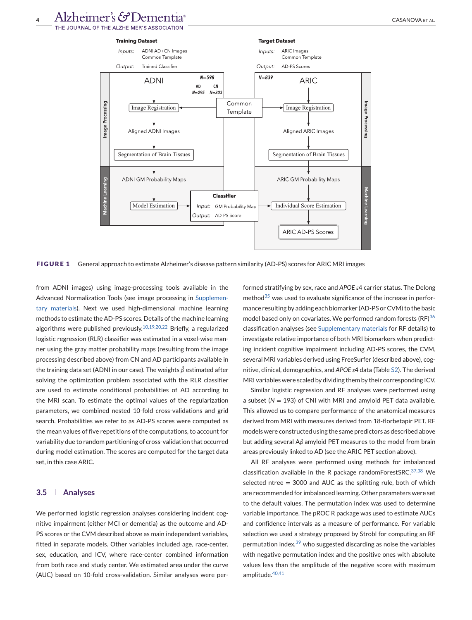<span id="page-3-0"></span>

**FIGURE 1** General approach to estimate Alzheimer's disease pattern similarity (AD-PS) scores for ARIC MRI images

from ADNI images) using image-processing tools available in the Advanced Normalization Tools (see image processing in Supplementary materials). Next we used high-dimensional machine learning methods to estimate the AD-PS scores. Details of the machine learning algorithms were published previously.<sup>[10,19,20,22](#page-8-0)</sup> Briefly, a regularized logistic regression (RLR) classifier was estimated in a voxel-wise manner using the gray matter probability maps (resulting from the image processing described above) from CN and AD participants available in the training data set (ADNI in our case). The weights  $\hat{\beta}$  estimated after solving the optimization problem associated with the RLR classifier are used to estimate conditional probabilities of AD according to the MRI scan. To estimate the optimal values of the regularization parameters, we combined nested 10-fold cross-validations and grid search. Probabilities we refer to as AD-PS scores were computed as the mean values of five repetitions of the computations, to account for variability due to random partitioning of cross-validation that occurred during model estimation. The scores are computed for the target data set, in this case ARIC.

## **3.5 Analyses**

We performed logistic regression analyses considering incident cognitive impairment (either MCI or dementia) as the outcome and AD-PS scores or the CVM described above as main independent variables, fitted in separate models. Other variables included age, race-center, sex, education, and ICV, where race-center combined information from both race and study center. We estimated area under the curve (AUC) based on 10-fold cross-validation. Similar analyses were per-

formed stratifying by sex, race and *APOE ε*4 carrier status. The Delong method $35$  was used to evaluate significance of the increase in performance resulting by adding each biomarker (AD-PS or CVM) to the basic model based only on covariates. We performed random forests (RF)<sup>[36](#page-9-0)</sup> classification analyses (see Supplementary materials for RF details) to investigate relative importance of both MRI biomarkers when predicting incident cognitive impairment including AD-PS scores, the CVM, several MRI variables derived using FreeSurfer (described above), cognitive, clinical, demographics, and *APOE ε*4 data (Table S2). The derived MRI variables were scaled by dividing them by their corresponding ICV.

Similar logistic regression and RF analyses were performed using a subset  $(N = 193)$  of CNI with MRI and amyloid PET data available. This allowed us to compare performance of the anatomical measures derived from MRI with measures derived from 18-florbetapir PET. RF models were constructed using the same predictors as described above but adding several A*β* amyloid PET measures to the model from brain areas previously linked to AD (see the ARIC PET section above).

All RF analyses were performed using methods for imbalanced classification available in the R package randomForestSRC. $37,38$  We selected ntree = 3000 and AUC as the splitting rule, both of which are recommended for imbalanced learning. Other parameters were set to the default values. The permutation index was used to determine variable importance. The pROC R package was used to estimate AUCs and confidence intervals as a measure of performance. For variable selection we used a strategy proposed by Strobl for computing an RF permutation index, $39$  who suggested discarding as noise the variables with negative permutation index and the positive ones with absolute values less than the amplitude of the negative score with maximum amplitude. $40,41$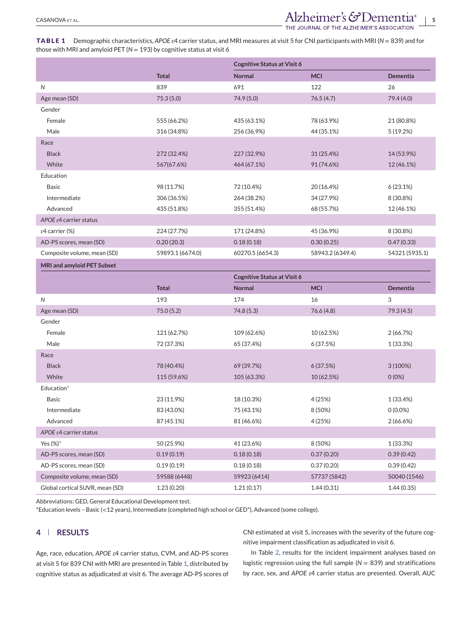<span id="page-4-0"></span>**TABLE 1** Demographic characteristics, *APOE* ɛ4 carrier status, and MRI measures at visit 5 for CNI participants with MRI (*N* = 839) and for those with MRI and amyloid PET (*N* = 193) by cognitive status at visit 6

|                                     |                  | <b>Cognitive Status at Visit 6</b> |                  |                |  |  |
|-------------------------------------|------------------|------------------------------------|------------------|----------------|--|--|
|                                     | <b>Total</b>     | <b>Normal</b>                      | <b>MCI</b>       | Dementia       |  |  |
| Ν                                   | 839              | 691                                | 122              | 26             |  |  |
| Age mean (SD)                       | 75.3(5.0)        | 74.9 (5.0)                         | 76.5(4.7)        | 79.4 (4.0)     |  |  |
| Gender                              |                  |                                    |                  |                |  |  |
| Female                              | 555 (66.2%)      | 435 (63.1%)                        | 78 (63.9%)       | 21 (80.8%)     |  |  |
| Male                                | 316 (34.8%)      | 256 (36.9%)                        | 44 (35.1%)       | 5 (19.2%)      |  |  |
| Race                                |                  |                                    |                  |                |  |  |
| <b>Black</b>                        | 272 (32.4%)      | 227 (32.9%)                        | 31 (25.4%)       | 14 (53.9%)     |  |  |
| White                               | 567(67.6%)       | 464 (67.1%)                        | 91 (74.6%)       | 12 (46.1%)     |  |  |
| Education                           |                  |                                    |                  |                |  |  |
| <b>Basic</b>                        | 98 (11.7%)       | 72 (10.4%)                         | 20 (16.4%)       | 6(23.1%)       |  |  |
| Intermediate                        | 306 (36.5%)      | 264 (38.2%)                        | 34 (27.9%)       | 8 (30.8%)      |  |  |
| Advanced                            | 435 (51.8%)      | 355 (51.4%)                        | 68 (55.7%)       | 12 (46.1%)     |  |  |
| APOE $\varepsilon$ 4 carrier status |                  |                                    |                  |                |  |  |
| ε4 carrier (%)                      | 224 (27.7%)      | 171 (24.8%)                        | 45 (36.9%)       | 8 (30.8%)      |  |  |
| AD-PS scores, mean (SD)             | 0.20(20.3)       | 0.18(0.18)                         | 0.30(0.25)       | 0.47(0.33)     |  |  |
| Composite volume, mean (SD)         | 59893.1 (6674.0) | 60270.5 (6654.3)                   | 58943.2 (6349.4) | 54321 (5935.1) |  |  |
| MRI and amyloid PET Subset          |                  |                                    |                  |                |  |  |
|                                     |                  | <b>Cognitive Status at Visit 6</b> |                  |                |  |  |
|                                     | <b>Total</b>     | Normal                             | <b>MCI</b>       | Dementia       |  |  |
| N                                   | 193              | 174                                | 16               | 3              |  |  |
| Age mean (SD)                       | 75.0(5.2)        | 74.8 (5.3)                         | 76.6 (4.8)       | 79.3 (4.5)     |  |  |
| Gender                              |                  |                                    |                  |                |  |  |
| Female                              | 121 (62.7%)      | 109 (62.6%)                        | 10 (62.5%)       | 2(66.7%)       |  |  |
| Male                                | 72 (37.3%)       | 65 (37.4%)                         | 6(37.5%)         | 1 (33.3%)      |  |  |
| Race                                |                  |                                    |                  |                |  |  |
| <b>Black</b>                        | 78 (40.4%)       | 69 (39.7%)                         | 6(37.5%)         | 3(100%)        |  |  |
| White                               | 115 (59.6%)      | 105 (63.3%)                        | 10 (62.5%)       | 0(0%)          |  |  |
| Education*                          |                  |                                    |                  |                |  |  |
| <b>Basic</b>                        | 23 (11.9%)       | 18 (10.3%)                         | 4 (25%)          | 1 (33.4%)      |  |  |
| Intermediate                        | 83 (43.0%)       | 75 (43.1%)                         | 8 (50%)          | $0(0.0\%)$     |  |  |
| Advanced                            | 87 (45.1%)       | 81 (46.6%)                         | 4(25%)           | 2(66.6%)       |  |  |
| APOE ε4 carrier status              |                  |                                    |                  |                |  |  |
| Yes (%)*                            | 50 (25.9%)       | 41 (23.6%)                         | 8 (50%)          | 1(33.3%)       |  |  |
| AD-PS scores, mean (SD)             | 0.19(0.19)       | 0.18(0.18)                         | 0.37(0.20)       | 0.39(0.42)     |  |  |
| AD-PS scores, mean (SD)             | 0.19(0.19)       | 0.18(0.18)                         | 0.37(0.20)       | 0.39(0.42)     |  |  |
| Composite volume, mean (SD)         | 59588 (6448)     | 59923 (6414)                       | 57737 (5842)     | 50040 (1546)   |  |  |
| Global cortical SUVR, mean (SD)     | 1.23(0.20)       | 1.21(0.17)                         | 1.44(0.31)       | 1.44(0.35)     |  |  |

Abbreviations: GED, General Educational Development test.

\*Education levels – Basic (<12 years), Intermediate (completed high school or GED\*), Advanced (some college).

## **4 RESULTS**

Age, race, education, *APOE ε*4 carrier status, CVM, and AD-PS scores at visit 5 for 839 CNI with MRI are presented in Table 1, distributed by cognitive status as adjudicated at visit 6. The average AD-PS scores of

CNI estimated at visit 5, increases with the severity of the future cognitive impairment classification as adjudicated in visit 6.

In Table [2,](#page-5-0) results for the incident impairment analyses based on logistic regression using the full sample (*N* = 839) and stratifications by race, sex, and *APOE ε*4 carrier status are presented. Overall, AUC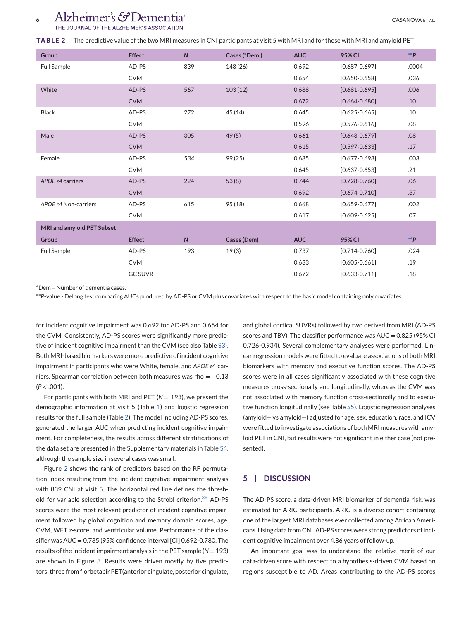<span id="page-5-0"></span>**TABLE 2** The predictive value of the two MRI measures in CNI participants at visit 5 with MRI and for those with MRI and amyloid PET

| Group                             | <b>Effect</b>  | $\mathsf{N}$ | Cases (*Dem.) | <b>AUC</b> | 95% CI            | $*$ <sup>*</sup> P |
|-----------------------------------|----------------|--------------|---------------|------------|-------------------|--------------------|
| <b>Full Sample</b>                | AD-PS          | 839          | 148 (26)      | 0.692      | $[0.687 - 0.697]$ | .0004              |
|                                   | <b>CVM</b>     |              |               | 0.654      | $[0.650 - 0.658]$ | .036               |
| White                             | AD-PS          | 567          | 103(12)       | 0.688      | $[0.681 - 0.695]$ | .006               |
|                                   | <b>CVM</b>     |              |               | 0.672      | $[0.664 - 0.680]$ | .10                |
| <b>Black</b>                      | AD-PS          | 272          | 45(14)        | 0.645      | $[0.625 - 0.665]$ | .10                |
|                                   | <b>CVM</b>     |              |               | 0.596      | $[0.576 - 0.616]$ | .08                |
| Male                              | AD-PS          | 305          | 49(5)         | 0.661      | $[0.643 - 0.679]$ | .08                |
|                                   | <b>CVM</b>     |              |               | 0.615      | $[0.597 - 0.633]$ | .17                |
| Female                            | AD-PS          | 534          | 99 (25)       | 0.685      | $[0.677 - 0.693]$ | .003               |
|                                   | <b>CVM</b>     |              |               | 0.645      | $[0.637 - 0.653]$ | .21                |
| APOE $\varepsilon$ 4 carriers     | AD-PS          | 224          | 53(8)         | 0.744      | $[0.728 - 0.760]$ | .06                |
|                                   | <b>CVM</b>     |              |               | 0.692      | $[0.674 - 0.710]$ | .37                |
| APOE $\varepsilon$ 4 Non-carriers | AD-PS          | 615          | 95(18)        | 0.668      | $[0.659 - 0.677]$ | .002               |
|                                   | <b>CVM</b>     |              |               | 0.617      | $[0.609 - 0.625]$ | .07                |
| MRI and amyloid PET Subset        |                |              |               |            |                   |                    |
| Group                             | <b>Effect</b>  | $\mathsf{N}$ | Cases (Dem)   | <b>AUC</b> | 95% CI            | $*$ <sup>*</sup> P |
| <b>Full Sample</b>                | AD-PS          | 193          | 19(3)         | 0.737      | $[0.714 - 0.760]$ | .024               |
|                                   | <b>CVM</b>     |              |               | 0.633      | $[0.605 - 0.661]$ | .19                |
|                                   | <b>GC SUVR</b> |              |               | 0.672      | $[0.633 - 0.711]$ | .18                |

\*Dem – Number of dementia cases.

\*\**P*-value - Delong test comparing AUCs produced by AD-PS or CVM plus covariates with respect to the basic model containing only covariates.

for incident cognitive impairment was 0.692 for AD-PS and 0.654 for the CVM. Consistently, AD-PS scores were significantly more predictive of incident cognitive impairment than the CVM (see also Table S3). BothMRI-based biomarkers were more predictive of incident cognitive impairment in participants who were White, female, and *APOE ε*4 carriers. Spearman correlation between both measures was rho = −0.13 (*P* < .001).

For participants with both MRI and PET ( $N = 193$ ), we present the demographic information at visit 5 (Table [1\)](#page-4-0) and logistic regression results for the full sample (Table 2). The model including AD-PS scores, generated the larger AUC when predicting incident cognitive impairment. For completeness, the results across different stratifications of the data set are presented in the Supplementary materials in Table S4, although the sample size in several cases was small.

Figure [2](#page-6-0) shows the rank of predictors based on the RF permutation index resulting from the incident cognitive impairment analysis with 839 CNI at visit 5. The horizontal red line defines the thresh-old for variable selection according to the Strobl criterion.<sup>[39](#page-9-0)</sup> AD-PS scores were the most relevant predictor of incident cognitive impairment followed by global cognition and memory domain scores, age, CVM, WFT z-score, and ventricular volume. Performance of the classifier was AUC = 0.735 (95% confidence interval [CI] 0.692-0.780. The results of the incident impairment analysis in the PET sample (*N* = 193) are shown in Figure [3.](#page-6-0) Results were driven mostly by five predictors: three from florbetapir PET(anterior cingulate, posterior cingulate, and global cortical SUVRs) followed by two derived from MRI (AD-PS scores and TBV). The classifier performance was  $AUC = 0.825$  (95% CI 0.726-0.934). Several complementary analyses were performed. Linear regression models were fitted to evaluate associations of both MRI biomarkers with memory and executive function scores. The AD-PS scores were in all cases significantly associated with these cognitive measures cross-sectionally and longitudinally, whereas the CVM was not associated with memory function cross-sectionally and to executive function longitudinally (see Table S5). Logistic regression analyses (amyloid+ vs amyloid−) adjusted for age, sex, education, race, and ICV were fitted to investigate associations of both MRI measures with amyloid PET in CNI, but results were not significant in either case (not presented).

#### **5 DISCUSSION**

The AD-PS score, a data-driven MRI biomarker of dementia risk, was estimated for ARIC participants. ARIC is a diverse cohort containing one of the largest MRI databases ever collected among African Americans. Using data from CNI, AD-PS scores were strong predictors of incident cognitive impairment over 4.86 years of follow-up.

An important goal was to understand the relative merit of our data-driven score with respect to a hypothesis-driven CVM based on regions susceptible to AD. Areas contributing to the AD-PS scores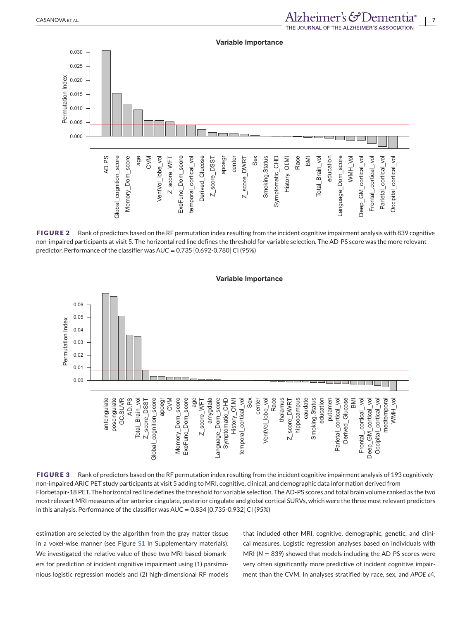<span id="page-6-0"></span>

**FIGURE 2** Rank of predictors based on the RF permutation index resulting from the incident cognitive impairment analysis with 839 cognitive non-impaired participants at visit 5. The horizontal red line defines the threshold for variable selection. The AD-PS score was the more relevant predictor. Performance of the classifier was AUC = 0.735 [0.692-0.780] CI (95%)



**FIGURE 3** Rank of predictors based on the RF permutation index resulting from the incident cognitive impairment analysis of 193 cognitively non-impaired ARIC PET study participants at visit 5 adding to MRI, cognitive, clinical, and demographic data information derived from Florbetapir-18 PET. The horizontal red line defines the threshold for variable selection. The AD-PS scores and total brain volume ranked as the two most relevant MRI measures after anterior cingulate, posterior cingulate and global cortical SURVs, which were the three most relevant predictors in this analysis. Performance of the classifier was  $AUC = 0.834$  [0.735-0.932] CI (95%)

estimation are selected by the algorithm from the gray matter tissue in a voxel-wise manner (see Figure S1 in Supplementary materials). We investigated the relative value of these two MRI-based biomarkers for prediction of incident cognitive impairment using (1) parsimonious logistic regression models and (2) high-dimensional RF models

that included other MRI, cognitive, demographic, genetic, and clinical measures. Logistic regression analyses based on individuals with MRI ( $N = 839$ ) showed that models including the AD-PS scores were very often significantly more predictive of incident cognitive impairment than the CVM. In analyses stratified by race, sex, and *APOE* ɛ4,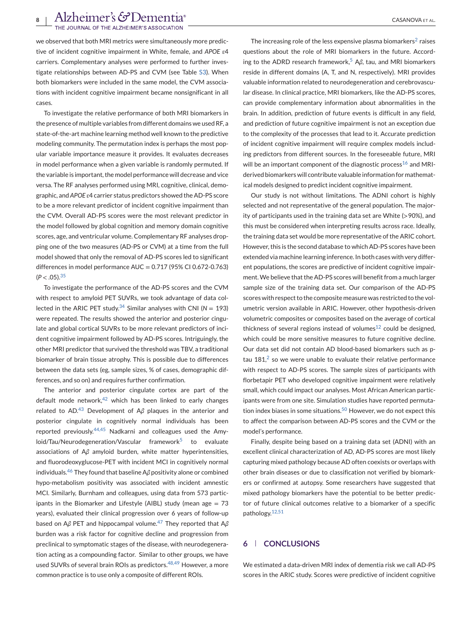we observed that both MRI metrics were simultaneously more predictive of incident cognitive impairment in White, female, and *APOE* ɛ4 carriers. Complementary analyses were performed to further investigate relationships between AD-PS and CVM (see Table S3). When both biomarkers were included in the same model, the CVM associations with incident cognitive impairment became nonsignificant in all cases.

To investigate the relative performance of both MRI biomarkers in the presence of multiple variables from different domains we used RF, a state-of-the-art machine learning method well known to the predictive modeling community. The permutation index is perhaps the most popular variable importance measure it provides. It evaluates decreases in model performance when a given variable is randomly permuted. If the variable is important, the model performance will decrease and vice versa. The RF analyses performed using MRI, cognitive, clinical, demographic, and *APOE* ɛ4 carrier status predictors showed the AD-PS score to be a more relevant predictor of incident cognitive impairment than the CVM. Overall AD-PS scores were the most relevant predictor in the model followed by global cognition and memory domain cognitive scores, age, and ventricular volume. Complementary RF analyses dropping one of the two measures (AD-PS or CVM) at a time from the full model showed that only the removal of AD-PS scores led to significant differences in model performance  $AUC = 0.717$  (95% CI 0.672-0.763)  $(P < .05)$ . [35](#page-9-0)

To investigate the performance of the AD-PS scores and the CVM with respect to amyloid PET SUVRs, we took advantage of data col-lected in the ARIC PET study.<sup>[34](#page-9-0)</sup> Similar analyses with CNI ( $N = 193$ ) were repeated. The results showed the anterior and posterior cingulate and global cortical SUVRs to be more relevant predictors of incident cognitive impairment followed by AD-PS scores. Intriguingly, the other MRI predictor that survived the threshold was TBV, a traditional biomarker of brain tissue atrophy. This is possible due to differences between the data sets (eg, sample sizes, % of cases, demographic differences, and so on) and requires further confirmation.

The anterior and posterior cingulate cortex are part of the default mode network, $42$  which has been linked to early changes related to AD.<sup>[43](#page-9-0)</sup> Development of Aβ plaques in the anterior and posterior cingulate in cognitively normal individuals has been reported previously.[44,45](#page-9-0) Nadkarni and colleagues used the Amy- $\text{loid/Tau/Neurodegeneration/Vascular}$  framework $^{5}$  $^{5}$  $^{5}$  to evaluate associations of A*β* amyloid burden, white matter hyperintensities, and fluorodeoxyglucose-PET with incident MCI in cognitively normal individuals.[46](#page-9-0) They found that baseline A*β* positivity alone or combined hypo-metabolism positivity was associated with incident amnestic MCI. Similarly, Burnham and colleagues, using data from 573 participants in the Biomarker and Lifestyle (AIBL) study (mean age  $= 73$ years), evaluated their clinical progression over 6 years of follow-up based on A*β* PET and hippocampal volume.[47](#page-9-0) They reported that A*β* burden was a risk factor for cognitive decline and progression from preclinical to symptomatic stages of the disease, with neurodegeneration acting as a compounding factor. Similar to other groups, we have used SUVRs of several brain ROIs as predictors.<sup>[48,49](#page-9-0)</sup> However, a more common practice is to use only a composite of different ROIs.

The increasing role of the less expensive plasma biomarkers<sup>[2](#page-8-0)</sup> raises questions about the role of MRI biomarkers in the future. Accord-ing to the ADRD research framework,<sup>[5](#page-8-0)</sup> Aβ, tau, and MRI biomarkers reside in different domains (A, T, and N, respectively). MRI provides valuable information related to neurodegeneration and cerebrovascular disease. In clinical practice, MRI biomarkers, like the AD-PS scores, can provide complementary information about abnormalities in the brain. In addition, prediction of future events is difficult in any field, and prediction of future cognitive impairment is not an exception due to the complexity of the processes that lead to it. Accurate prediction of incident cognitive impairment will require complex models including predictors from different sources. In the foreseeable future, MRI will be an important component of the diagnostic process<sup>[16](#page-9-0)</sup> and MRIderived biomarkers will contribute valuable information for mathematical models designed to predict incident cognitive impairment.

Our study is not without limitations. The ADNI cohort is highly selected and not representative of the general population. The majority of participants used in the training data set are White (>90%), and this must be considered when interpreting results across race. Ideally, the training data set would be more representative of the ARIC cohort. However, this is the second database to which AD-PS scores have been extended via machine learning inference. In both cases with very different populations, the scores are predictive of incident cognitive impairment.We believe that the AD-PS scores will benefit from a much larger sample size of the training data set. Our comparison of the AD-PS scores with respect to the composite measure was restricted to the volumetric version available in ARIC. However, other hypothesis-driven volumetric composites or composites based on the average of cortical thickness of several regions instead of volumes<sup>[12](#page-9-0)</sup> could be designed, which could be more sensitive measures to future cognitive decline. Our data set did not contain AD blood-based biomarkers such as ptau  $181<sup>2</sup>$  $181<sup>2</sup>$  $181<sup>2</sup>$  so we were unable to evaluate their relative performance with respect to AD-PS scores. The sample sizes of participants with florbetapir PET who developed cognitive impairment were relatively small, which could impact our analyses. Most African American participants were from one site. Simulation studies have reported permuta-tion index biases in some situations.<sup>[50](#page-10-0)</sup> However, we do not expect this to affect the comparison between AD-PS scores and the CVM or the model's performance.

Finally, despite being based on a training data set (ADNI) with an excellent clinical characterization of AD, AD-PS scores are most likely capturing mixed pathology because AD often coexists or overlaps with other brain diseases or due to classification not verified by biomarkers or confirmed at autopsy. Some researchers have suggested that mixed pathology biomarkers have the potential to be better predictor of future clinical outcomes relative to a biomarker of a specific pathology.[12,51](#page-9-0)

#### **6 CONCLUSIONS**

We estimated a data-driven MRI index of dementia risk we call AD-PS scores in the ARIC study. Scores were predictive of incident cognitive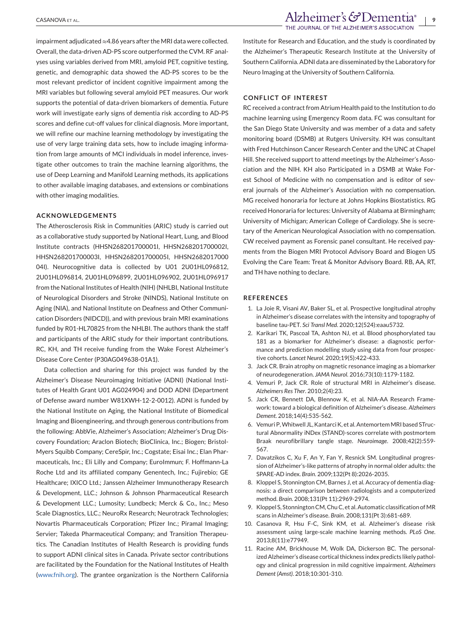<span id="page-8-0"></span>impairment adjudicated≈4.86 years after the MRI data were collected. Overall, the data-driven AD-PS score outperformed the CVM. RF analyses using variables derived from MRI, amyloid PET, cognitive testing, genetic, and demographic data showed the AD-PS scores to be the most relevant predictor of incident cognitive impairment among the MRI variables but following several amyloid PET measures. Our work supports the potential of data-driven biomarkers of dementia. Future work will investigate early signs of dementia risk according to AD-PS scores and define cut-off values for clinical diagnosis. More important, we will refine our machine learning methodology by investigating the use of very large training data sets, how to include imaging information from large amounts of MCI individuals in model inference, investigate other outcomes to train the machine learning algorithms, the use of Deep Learning and Manifold Learning methods, its applications to other available imaging databases, and extensions or combinations with other imaging modalities.

#### **ACKNOWLEDGEMENTS**

The Atherosclerosis Risk in Communities (ARIC) study is carried out as a collaborative study supported by National Heart, Lung, and Blood Institute contracts (HHSN268201700001I, HHSN268201700002I, HHSN268201700003I, HHSN268201700005I, HHSN2682017000 04I). Neurocognitive data is collected by U01 2U01HL096812, 2U01HL096814, 2U01HL096899, 2U01HL096902, 2U01HL096917 from the National Institutes of Health (NIH) (NHLBI, National Institute of Neurological Disorders and Stroke (NINDS), National Institute on Aging (NIA), and National Institute on Deafness and Other Communication Disorders (NIDCD)), and with previous brain MRI examinations funded by R01-HL70825 from the NHLBI. The authors thank the staff and participants of the ARIC study for their important contributions. RC, KH, and TH receive funding from the Wake Forest Alzheimer's Disease Core Center (P30AG049638-01A1).

Data collection and sharing for this project was funded by the Alzheimer's Disease Neuroimaging Initiative (ADNI) (National Institutes of Health Grant U01 AG024904) and DOD ADNI (Department of Defense award number W81XWH-12-2-0012). ADNI is funded by the National Institute on Aging, the National Institute of Biomedical Imaging and Bioengineering, and through generous contributions from the following: AbbVie, Alzheimer's Association; Alzheimer's Drug Discovery Foundation; Araclon Biotech; BioClinica, Inc.; Biogen; Bristol-Myers Squibb Company; CereSpir, Inc.; Cogstate; Eisai Inc.; Elan Pharmaceuticals, Inc.; Eli Lilly and Company; EuroImmun; F. Hoffmann-La Roche Ltd and its affiliated company Genentech, Inc.; Fujirebio; GE Healthcare; IXICO Ltd.; Janssen Alzheimer Immunotherapy Research & Development, LLC.; Johnson & Johnson Pharmaceutical Research & Development LLC.; Lumosity; Lundbeck; Merck & Co., Inc.; Meso Scale Diagnostics, LLC.; NeuroRx Research; Neurotrack Technologies; Novartis Pharmaceuticals Corporation; Pfizer Inc.; Piramal Imaging; Servier; Takeda Pharmaceutical Company; and Transition Therapeutics. The Canadian Institutes of Health Research is providing funds to support ADNI clinical sites in Canada. Private sector contributions are facilitated by the Foundation for the National Institutes of Health [\(www.fnih.org\)](http://www.fnih.org). The grantee organization is the Northern California

Institute for Research and Education, and the study is coordinated by the Alzheimer's Therapeutic Research Institute at the University of Southern California. ADNI data are disseminated by the Laboratory for Neuro Imaging at the University of Southern California.

#### **CONFLICT OF INTEREST**

RC received a contract from Atrium Health paid to the Institution to do machine learning using Emergency Room data. FC was consultant for the San Diego State University and was member of a data and safety monitoring board (DSMB) at Rutgers University. KH was consultant with Fred Hutchinson Cancer Research Center and the UNC at Chapel Hill. She received support to attend meetings by the Alzheimer's Association and the NIH. KH also Participated in a DSMB at Wake Forest School of Medicine with no compensation and is editor of several journals of the Alzheimer's Association with no compensation. MG received honoraria for lecture at Johns Hopkins Biostatistics. RG received Honoraria for lectures: University of Alabama at Birmingham; University of Michigan; American College of Cardiology. She is secretary of the American Neurological Association with no compensation. CW received payment as Forensic panel consultant. He received payments from the Biogen MRI Protocol Advisory Board and Biogen US Evolving the Care Team: Treat & Monitor Advisory Board. RB, AA, RT, and TH have nothing to declare.

#### **REFERENCES**

- 1. La Joie R, Visani AV, Baker SL, et al. Prospective longitudinal atrophy in Alzheimer's disease correlates with the intensity and topography of baseline tau-PET. *Sci Transl Med*. 2020;12(524):eaau5732.
- 2. Karikari TK, Pascoal TA, Ashton NJ, et al. Blood phosphorylated tau 181 as a biomarker for Alzheimer's disease: a diagnostic performance and prediction modelling study using data from four prospective cohorts. *Lancet Neurol*. 2020;19(5):422-433.
- 3. Jack CR. Brain atrophy on magnetic resonance imaging as a biomarker of neurodegeneration. *JAMA Neurol*. 2016;73(10):1179-1182.
- 4. Vemuri P, Jack CR. Role of structural MRI in Alzheimer's disease. *Alzheimers Res Ther*. 2010;2(4):23.
- 5. Jack CR, Bennett DA, Blennow K, et al. NIA-AA Research Framework: toward a biological definition of Alzheimer's disease. *Alzheimers Dement*. 2018;14(4):535-562.
- 6. Vemuri P,Whitwell JL, Kantarci K, et al. AntemortemMRI based STructural Abnormality iNDex (STAND)-scores correlate with postmortem Braak neurofibrillary tangle stage. *Neuroimage*. 2008;42(2):559- 567.
- 7. Davatzikos C, Xu F, An Y, Fan Y, Resnick SM. Longitudinal progression of Alzheimer's-like patterns of atrophy in normal older adults: the SPARE-AD index. *Brain*. 2009;132(Pt 8):2026-2035.
- 8. Kloppel S, Stonnington CM, Barnes J, et al. Accuracy of dementia diagnosis: a direct comparison between radiologists and a computerized method. *Brain*. 2008;131(Pt 11):2969-2974.
- 9. Kloppel S, Stonnington CM, Chu C, et al. Automatic classification of MR scans in Alzheimer's disease. *Brain*. 2008;131(Pt 3):681-689.
- 10. Casanova R, Hsu F-C, Sink KM, et al. Alzheimer's disease risk assessment using large-scale machine learning methods. *PLoS One*. 2013;8(11):e77949.
- 11. Racine AM, Brickhouse M, Wolk DA, Dickerson BC. The personalized Alzheimer's disease cortical thickness index predicts likely pathology and clinical progression in mild cognitive impairment. *Alzheimers Dement (Amst)*. 2018;10:301-310.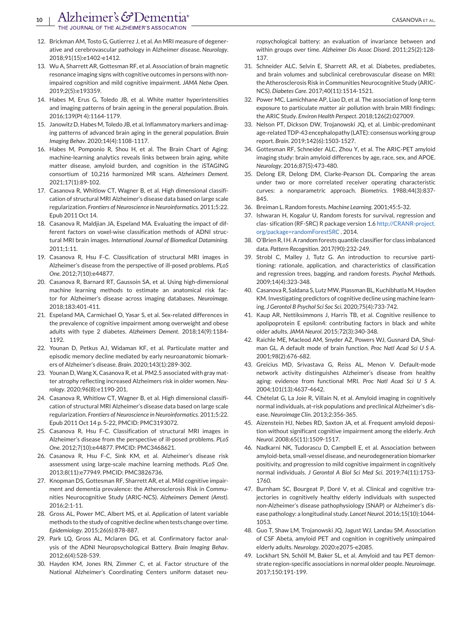# <span id="page-9-0"></span>10 | Alzheimer's GDementia®<br>The journal of the alzheimer's association

- 12. Brickman AM, Tosto G, Gutierrez J, et al. An MRI measure of degenerative and cerebrovascular pathology in Alzheimer disease. *Neurology*. 2018;91(15):e1402-e1412.
- 13. Wu A, Sharrett AR, Gottesman RF, et al. Association of brain magnetic resonance imaging signs with cognitive outcomes in persons with nonimpaired cognition and mild cognitive impairment. *JAMA Netw Open*. 2019;2(5):e193359.
- 14. Habes M, Erus G, Toledo JB, et al. White matter hyperintensities and imaging patterns of brain ageing in the general population. *Brain*. 2016;139(Pt 4):1164-1179.
- 15. Janowitz D, Habes M, Toledo JB, et al. Inflammatory markers and imaging patterns of advanced brain aging in the general population. *Brain Imaging Behav*. 2020;14(4):1108-1117.
- 16. Habes M, Pomponio R, Shou H, et al. The Brain Chart of Aging: machine-learning analytics reveals links between brain aging, white matter disease, amyloid burden, and cognition in the iSTAGING consortium of 10,216 harmonized MR scans. *Alzheimers Dement*. 2021;17(1):89-102.
- 17. Casanova R, Whitlow CT, Wagner B, et al. High dimensional classification of structural MRI Alzheimer's disease data based on large scale regularization. *Frontiers of Neuroscience in Neuroinformatics*. 2011;5:22. Epub 2011 Oct 14.
- 18. Casanova R, Maldjian JA, Espeland MA. Evaluating the impact of different factors on voxel-wise classification methods of ADNI structural MRI brain images. *International Journal of Biomedical Datamining*.  $2011:1:11$
- 19. Casanova R, Hsu F-C. Classification of structural MRI images in Alzheimer's disease from the perspective of ill-posed problems. *PLoS One*. 2012;7(10):e44877.
- 20. Casanova R, Barnard RT, Gaussoin SA, et al. Using high-dimensional machine learning methods to estimate an anatomical risk factor for Alzheimer's disease across imaging databases. *Neuroimage*. 2018;183:401-411.
- 21. Espeland MA, Carmichael O, Yasar S, et al. Sex-related differences in the prevalence of cognitive impairment among overweight and obese adults with type 2 diabetes. *Alzheimers Dement*. 2018;14(9):1184- 1192.
- 22. Younan D, Petkus AJ, Widaman KF, et al. Particulate matter and episodic memory decline mediated by early neuroanatomic biomarkers of Alzheimer's disease. *Brain*. 2020;143(1):289-302.
- 23. Younan D, Wang X, Casanova R, et al. PM2.5 associated with gray matter atrophy reflecting increased Alzheimers risk in older women. *Neurology*. 2020;96(8):e1190-201.
- 24. Casanova R, Whitlow CT, Wagner B, et al. High dimensional classification of structural MRI Alzheimer's disease data based on large scale regularization. *Frontiers of Neuroscience in Neuroinformatics*. 2011;5:22. Epub 2011 Oct 14 p. 5-22, PMCID: PMC3193072.
- 25. Casanova R, Hsu F-C. Classification of structural MRI images in Alzheimer's disease from the perspective of ill-posed problems. *PLoS One*. 2012;7(10):e44877. PMCID: PMC3468621.
- 26. Casanova R, Hsu F-C, Sink KM, et al. Alzheimer's disease risk assessment using large-scale machine learning methods. *PLoS One*. 2013;8(11):e77949. PMCID: PMC3826736.
- 27. Knopman DS, Gottesman RF, Sharrett AR, et al. Mild cognitive impairment and dementia prevalence: the Atherosclerosis Risk in Communities Neurocognitive Study (ARIC-NCS). *Alzheimers Dement (Amst)*. 2016;2:1-11.
- 28. Gross AL, Power MC, Albert MS, et al. Application of latent variable methods to the study of cognitive decline when tests change over time. *Epidemiology*. 2015;26(6):878-887.
- 29. Park LQ, Gross AL, Mclaren DG, et al. Confirmatory factor analysis of the ADNI Neuropsychological Battery. *Brain Imaging Behav*. 2012;6(4):528-539.
- 30. Hayden KM, Jones RN, Zimmer C, et al. Factor structure of the National Alzheimer's Coordinating Centers uniform dataset neu-

ropsychological battery: an evaluation of invariance between and within groups over time. *Alzheimer Dis Assoc Disord*. 2011;25(2):128- 137.

- 31. Schneider ALC, Selvin E, Sharrett AR, et al. Diabetes, prediabetes, and brain volumes and subclinical cerebrovascular disease on MRI: the Atherosclerosis Risk in Communities Neurocognitive Study (ARIC-NCS). *Diabetes Care*. 2017;40(11):1514-1521.
- 32. Power MC, Lamichhane AP, Liao D, et al. The association of long-term exposure to particulate matter air pollution with brain MRI findings: the ARIC Study. *Environ Health Perspect*. 2018;126(2):027009.
- 33. Nelson PT, Dickson DW, Trojanowski JQ, et al. Limbic-predominant age-related TDP-43 encephalopathy (LATE): consensus working group report. *Brain*. 2019;142(6):1503-1527.
- 34. Gottesman RF, Schneider ALC, Zhou Y, et al. The ARIC-PET amyloid imaging study: brain amyloid differences by age, race, sex, and APOE. *Neurology*. 2016;87(5):473-480.
- 35. Delong ER, Delong DM, Clarke-Pearson DL. Comparing the areas under two or more correlated receiver operating characteristic curves: a nonparametric approach. *Biometrics*. 1988;44(3):837- 845.
- 36. Breiman L. Random forests. *Machine Learning*. 2001;45:5-32.
- 37. Ishwaran H, Kogalur U, Random forests for survival, regression and clas- sification (RF-SRC) R package version 1.6 [http://CRANR-project.](http://CRANR-project.org/package=randomForestSRC) [org/package=randomForestSRC](http://CRANR-project.org/package=randomForestSRC) . 2014.
- 38. O'Brien R, I H. A random forests quantile classifier for class imbalanced data. *Pattern Recognition*. 2017(90):232-249.
- 39. Strobl C, Malley J, Tutz G. An introduction to recursive partitioning: rationale, application, and characteristics of classification and regression trees, bagging, and random forests. *Psychol Methods*. 2009;14(4):323-348.
- 40. Casanova R, Saldana S, Lutz MW, Plassman BL, Kuchibhatla M, Hayden KM. Investigating predictors of cognitive decline using machine learning. *J Gerontol B Psychol Sci Soc Sci*. 2020;75(4):733-742.
- 41. Kaup AR, Nettiksimmons J, Harris TB, et al. Cognitive resilience to apolipoprotein E epsilon4: contributing factors in black and white older adults. *JAMA Neurol*. 2015;72(3):340-348.
- 42. Raichle ME, Macleod AM, Snyder AZ, Powers WJ, Gusnard DA, Shulman GL. A default mode of brain function. *Proc Natl Acad Sci U S A*. 2001;98(2):676-682.
- 43. Greicius MD, Srivastava G, Reiss AL, Menon V. Default-mode network activity distinguishes Alzheimer's disease from healthy aging: evidence from functional MRI. *Proc Natl Acad Sci U S A*. 2004;101(13):4637-4642.
- 44. Chételat G, La Joie R, Villain N, et al. Amyloid imaging in cognitively normal individuals, at-risk populations and preclinical Alzheimer's disease. *Neuroimage Clin*. 2013;2:356-365.
- 45. Aizenstein HJ, Nebes RD, Saxton JA, et al. Frequent amyloid deposition without significant cognitive impairment among the elderly. *Arch Neurol*. 2008;65(11):1509-1517.
- 46. Nadkarni NK, Tudorascu D, Campbell E, et al. Association between amyloid-beta, small-vessel disease, and neurodegeneration biomarker positivity, and progression to mild cognitive impairment in cognitively normal individuals. *J Gerontol A Biol Sci Med Sci*. 2019;74(11):1753- 1760.
- 47. Burnham SC, Bourgeat P, Doré V, et al. Clinical and cognitive trajectories in cognitively healthy elderly individuals with suspected non-Alzheimer's disease pathophysiology (SNAP) or Alzheimer's disease pathology: a longitudinal study. *Lancet Neurol*. 2016;15(10):1044- 1053.
- 48. Guo T, Shaw LM, Trojanowski JQ, Jagust WJ, Landau SM. Association of CSF Abeta, amyloid PET and cognition in cognitively unimpaired elderly adults. *Neurology*. 2020:e2075-e2085.
- 49. Lockhart SN, Schöll M, Baker SL, et al. Amyloid and tau PET demonstrate region-specific associations in normal older people. *Neuroimage*. 2017;150:191-199.